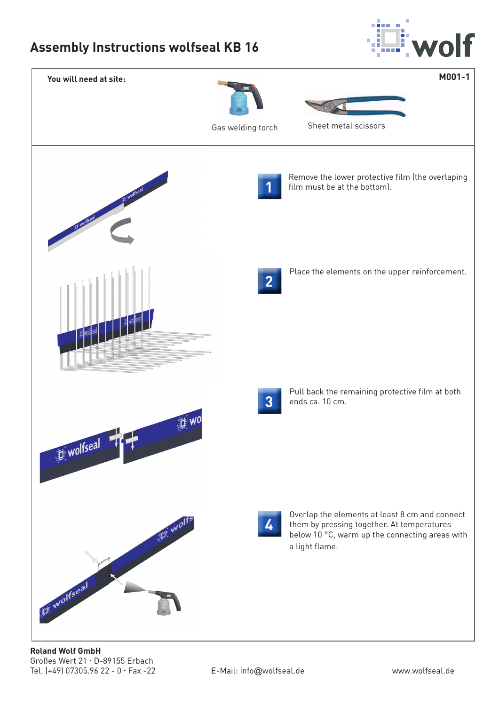## **Assembly Instructions wolfseal KB 16**